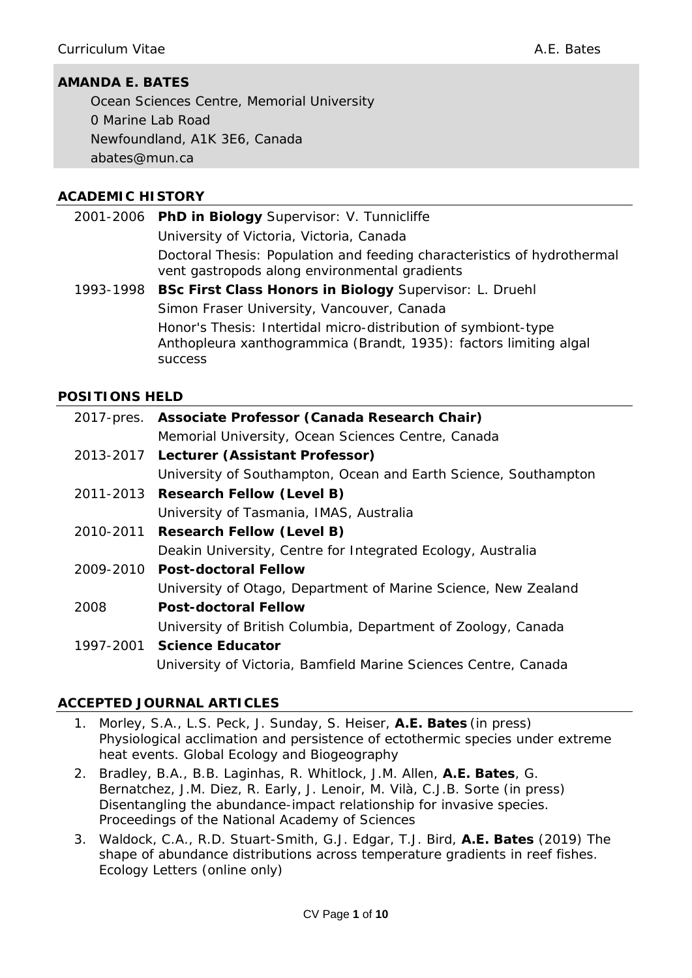# **AMANDA E. BATES**

Ocean Sciences Centre, Memorial University 0 Marine Lab Road Newfoundland, A1K 3E6, Canada *abates@mun.ca*

#### **ACADEMIC HISTORY**

|           | 2001-2006 PhD in Biology Supervisor: V. Tunnicliffe                                                                      |  |
|-----------|--------------------------------------------------------------------------------------------------------------------------|--|
|           | University of Victoria, Victoria, Canada                                                                                 |  |
|           | Doctoral Thesis: Population and feeding characteristics of hydrothermal<br>vent gastropods along environmental gradients |  |
| 1002 1009 | <b>RSc Eirst Class Honors in Riology Supervisor: L. Drughl</b>                                                           |  |

1993-1998 **BSc First Class Honors in Biology** Supervisor: L. Druehl Simon Fraser University, Vancouver, Canada Honor's Thesis: Intertidal micro-distribution of symbiont-type *Anthopleura xanthogrammica* (Brandt, 1935): factors limiting algal success

#### **POSITIONS HELD**

|                                          | 2017-pres. Associate Professor (Canada Research Chair)          |  |  |
|------------------------------------------|-----------------------------------------------------------------|--|--|
|                                          | Memorial University, Ocean Sciences Centre, Canada              |  |  |
| 2013-2017 Lecturer (Assistant Professor) |                                                                 |  |  |
|                                          | University of Southampton, Ocean and Earth Science, Southampton |  |  |
|                                          | 2011-2013 Research Fellow (Level B)                             |  |  |
|                                          | University of Tasmania, IMAS, Australia                         |  |  |
|                                          | 2010-2011 Research Fellow (Level B)                             |  |  |
|                                          | Deakin University, Centre for Integrated Ecology, Australia     |  |  |
|                                          | 2009-2010 Post-doctoral Fellow                                  |  |  |
|                                          | University of Otago, Department of Marine Science, New Zealand  |  |  |
| 2008                                     | <b>Post-doctoral Fellow</b>                                     |  |  |
|                                          | University of British Columbia, Department of Zoology, Canada   |  |  |
|                                          | 1997-2001 Science Educator                                      |  |  |
|                                          | University of Victoria, Bamfield Marine Sciences Centre, Canada |  |  |

### **ACCEPTED JOURNAL ARTICLES**

- 1. Morley, S.A., L.S. Peck, J. Sunday, S. Heiser, **A.E. Bates** (in press) Physiological acclimation and persistence of ectothermic species under extreme heat events. *Global Ecology and Biogeography*
- 2. Bradley, B.A., B.B. Laginhas, R. Whitlock, J.M. Allen, **A.E. Bates**, G. Bernatchez, J.M. Diez, R. Early, J. Lenoir, M. Vilà, C.J.B. Sorte (in press) Disentangling the abundance-impact relationship for invasive species. *Proceedings of the National Academy of Sciences*
- 3. Waldock, C.A., R.D. Stuart-Smith, G.J. Edgar, T.J. Bird, **A.E. Bates** (2019) The shape of abundance distributions across temperature gradients in reef fishes. *Ecology Letters* (online only)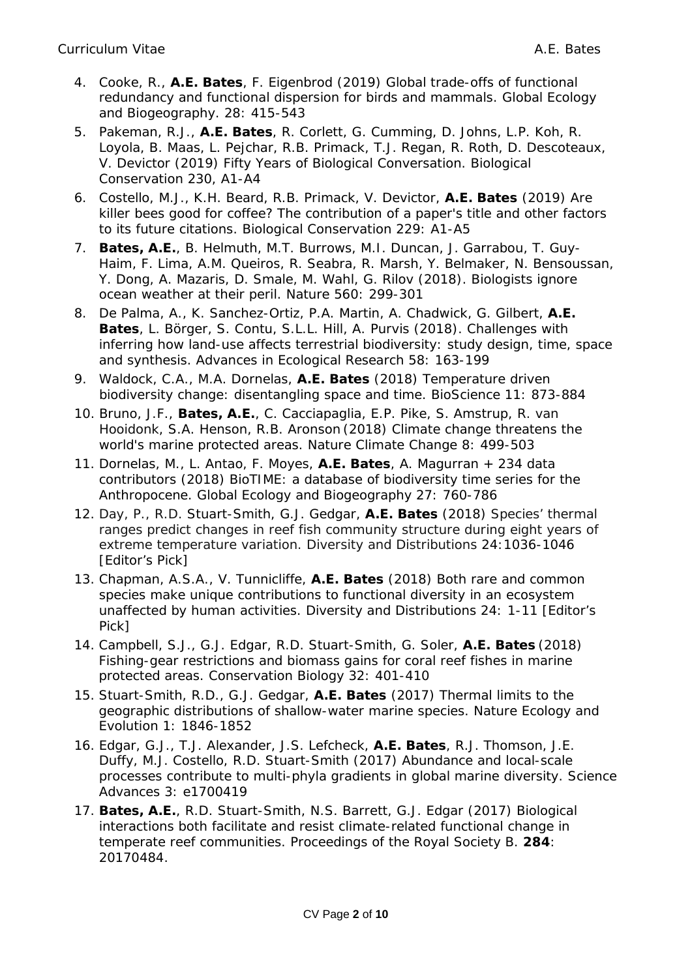- 4. Cooke, R., **A.E. Bates**, F. Eigenbrod (2019) Global trade-offs of functional redundancy and functional dispersion for birds and mammals. *Global Ecology and Biogeography*. 28: 415-543
- 5. Pakeman, R.J., **A.E. Bates**, R. Corlett, G. Cumming, D. Johns, L.P. Koh, R. Loyola, B. Maas, L. Pejchar, R.B. Primack, T.J. Regan, R. Roth, D. Descoteaux, V. Devictor (2019) Fifty Years of Biological Conversation. *Biological Conservation* 230, A1-A4
- 6. Costello, M.J., K.H. Beard, R.B. Primack, V. Devictor, **A.E. Bates** (2019) Are killer bees good for coffee? The contribution of a paper's title and other factors to its future citations. *Biological Conservation* 229: A1-A5
- 7. **Bates, A.E.**, B. Helmuth, M.T. Burrows, M.I. Duncan, J. Garrabou, T. Guy-Haim, F. Lima, A.M. Queiros, R. Seabra, R. Marsh, Y. Belmaker, N. Bensoussan, Y. Dong, A. Mazaris, D. Smale, M. Wahl, G. Rilov (2018). Biologists ignore ocean weather at their peril. *Nature* 560: 299-301
- 8. De Palma, A., K. Sanchez-Ortiz, P.A. Martin, A. Chadwick, G. Gilbert, **A.E. Bates**, L. Börger, S. Contu, S.L.L. Hill, A. Purvis (2018). Challenges with inferring how land-use affects terrestrial biodiversity: study design, time, space and synthesis. *Advances in Ecological Research* 58: 163-199
- 9. Waldock, C.A., M.A. Dornelas, **A.E. Bates** (2018) Temperature driven biodiversity change: disentangling space and time. *BioScience* 11: 873-884
- 10. Bruno, J.F., **Bates, A.E.**, C. Cacciapaglia, E.P. Pike, S. Amstrup, R. van Hooidonk, S.A. Henson, R.B. Aronson (2018) Climate change threatens the world's marine protected areas. *Nature Climate Change* 8: 499-503
- 11. Dornelas, M., L. Antao, F. Moyes, **A.E. Bates**, A. Magurran + 234 data contributors (2018) BioTIME: a database of biodiversity time series for the Anthropocene. *Global Ecology and Biogeography* 27: 760-786
- 12. Day, P., R.D. Stuart-Smith, G.J. Gedgar, **A.E. Bates** (2018) Species' thermal ranges predict changes in reef fish community structure during eight years of extreme temperature variation. *Diversity and Distributions* 24:1036-1046 [Editor's Pick]
- 13. Chapman, A.S.A., V. Tunnicliffe, **A.E. Bates** (2018) Both rare and common species make unique contributions to functional diversity in an ecosystem unaffected by human activities. *Diversity and Distributions* 24: 1-11 [Editor's Pick]
- 14. Campbell, S.J., G.J. Edgar, R.D. Stuart-Smith, G. Soler, **A.E. Bates** (2018) Fishing-gear restrictions and biomass gains for coral reef fishes in marine protected areas. *Conservation Biology* 32: 401-410
- 15. Stuart-Smith, R.D., G.J. Gedgar, **A.E. Bates** (2017) Thermal limits to the geographic distributions of shallow-water marine species. *Nature Ecology and Evolution* 1: 1846-1852
- 16. Edgar, G.J., T.J. Alexander, J.S. Lefcheck, **A.E. Bates**, R.J. Thomson, J.E. Duffy, M.J. Costello, R.D. Stuart-Smith (2017) Abundance and local-scale processes contribute to multi-phyla gradients in global marine diversity. *Science Advances* 3: e1700419
- 17. **Bates, A.E.**, R.D. Stuart-Smith, N.S. Barrett, G.J. Edgar (2017) Biological interactions both facilitate and resist climate-related functional change in temperate reef communities. *Proceedings of the Royal Society B*. **284**: 20170484.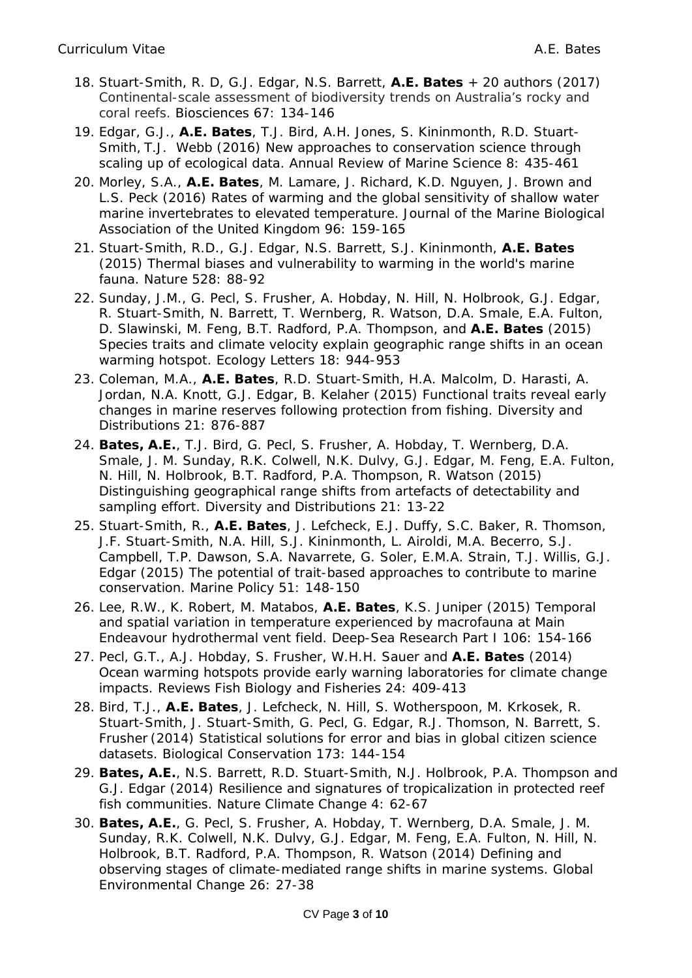- 18. Stuart-Smith, R. D, G.J. Edgar, N.S. Barrett, **A.E. Bates** + 20 authors (2017) Continental-scale assessment of biodiversity trends on Australia's rocky and coral reefs. *Biosciences* 67: 134-146
- 19. Edgar, G.J., **A.E. Bates**, T.J. Bird, A.H. Jones, S. Kininmonth, R.D. Stuart-Smith, T.J. Webb (2016) New approaches to conservation science through scaling up of ecological data. *Annual Review of Marine Science* 8: 435-461
- 20. Morley, S.A., **A.E. Bates**, M. Lamare, J. Richard, K.D. Nguyen, J. Brown and L.S. Peck (2016) Rates of warming and the global sensitivity of shallow water marine invertebrates to elevated temperature. *Journal of the Marine Biological Association of the United Kingdom* 96: 159-165
- 21. Stuart-Smith, R.D., G.J. Edgar, N.S. Barrett, S.J. Kininmonth, **A.E. Bates** (2015) Thermal biases and vulnerability to warming in the world's marine fauna*.* Nature 528: 88-92
- 22. Sunday, J.M., G. Pecl, S. Frusher, A. Hobday, N. Hill, N. Holbrook, G.J. Edgar, R. Stuart-Smith, N. Barrett, T. Wernberg, R. Watson, D.A. Smale, E.A. Fulton, D. Slawinski, M. Feng, B.T. Radford, P.A. Thompson, and **A.E. Bates** (2015) Species traits and climate velocity explain geographic range shifts in an ocean warming hotspot. *Ecology Letters* 18: 944-953
- 23. Coleman, M.A., **A.E. Bates**, R.D. Stuart-Smith, H.A. Malcolm, D. Harasti, A. Jordan, N.A. Knott, G.J. Edgar, B. Kelaher (2015) Functional traits reveal early changes in marine reserves following protection from fishing. *Diversity and Distributions* 21: 876-887
- 24. **Bates, A.E.**, T.J. Bird, G. Pecl, S. Frusher, A. Hobday, T. Wernberg, D.A. Smale, J. M. Sunday, R.K. Colwell, N.K. Dulvy, G.J. Edgar, M. Feng, E.A. Fulton, N. Hill, N. Holbrook, B.T. Radford, P.A. Thompson, R. Watson (2015) Distinguishing geographical range shifts from artefacts of detectability and sampling effort. *Diversity and Distributions* 21: 13-22
- 25. Stuart-Smith, R., **A.E. Bates**, J. Lefcheck, E.J. Duffy, S.C. Baker, R. Thomson, J.F. Stuart-Smith, N.A. Hill, S.J. Kininmonth, L. Airoldi, M.A. Becerro, S.J. Campbell, T.P. Dawson, S.A. Navarrete, G. Soler, E.M.A. Strain, T.J. Willis, G.J. Edgar (2015) The potential of trait-based approaches to contribute to marine conservation. *Marine Policy* 51: 148-150
- 26. Lee, R.W., K. Robert, M. Matabos, **A.E. Bates**, K.S. Juniper (2015) Temporal and spatial variation in temperature experienced by macrofauna at Main Endeavour hydrothermal vent field. *Deep-Sea Research Part I* 106: 154-166
- 27. Pecl, G.T., A.J. Hobday, S. Frusher, W.H.H. Sauer and **A.E. Bates** (2014) Ocean warming hotspots provide early warning laboratories for climate change impacts. *Reviews Fish Biology and Fisheries* 24: 409-413
- 28. Bird, T.J., **A.E. Bates**, J. Lefcheck, N. Hill, S. Wotherspoon, M. Krkosek, R. Stuart-Smith, J. Stuart-Smith, G. Pecl, G. Edgar, R.J. Thomson, N. Barrett, S. Frusher (2014) Statistical solutions for error and bias in global citizen science datasets. *Biological Conservation* 173: 144-154
- 29. **Bates, A.E.**, N.S. Barrett, R.D. Stuart-Smith, N.J. Holbrook, P.A. Thompson and G.J. Edgar (2014) Resilience and signatures of tropicalization in protected reef fish communities. *Nature Climate Change* 4: 62-67
- 30. **Bates, A.E.**, G. Pecl, S. Frusher, A. Hobday, T. Wernberg, D.A. Smale, J. M. Sunday, R.K. Colwell, N.K. Dulvy, G.J. Edgar, M. Feng, E.A. Fulton, N. Hill, N. Holbrook, B.T. Radford, P.A. Thompson, R. Watson (2014) Defining and observing stages of climate-mediated range shifts in marine systems. *Global Environmental Change* 26: 27-38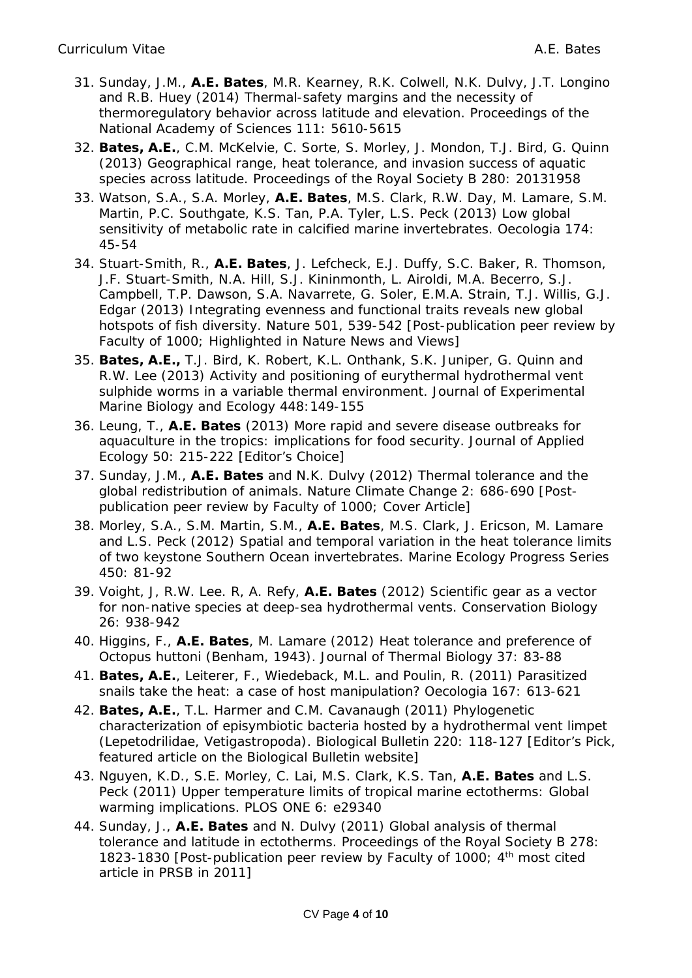- 31. Sunday, J.M., **A.E. Bates**, M.R. Kearney, R.K. Colwell, N.K. Dulvy, J.T. Longino and R.B. Huey (2014) Thermal-safety margins and the necessity of thermoregulatory behavior across latitude and elevation. *Proceedings of the National Academy of Sciences* 111: 5610-5615
- 32. **Bates, A.E.**, C.M. McKelvie, C. Sorte, S. Morley, J. Mondon, T.J. Bird, G. Quinn (2013) Geographical range, heat tolerance, and invasion success of aquatic species across latitude. *Proceedings of the Royal Society B* 280: 20131958
- 33. Watson, S.A., S.A. Morley, **A.E. Bates**, M.S. Clark, R.W. Day, M. Lamare, S.M. Martin, P.C. Southgate, K.S. Tan, P.A. Tyler, L.S. Peck (2013) Low global sensitivity of metabolic rate in calcified marine invertebrates. *Oecologia* 174: 45-54
- 34. Stuart-Smith, R., **A.E. Bates**, J. Lefcheck, E.J. Duffy, S.C. Baker, R. Thomson, J.F. Stuart-Smith, N.A. Hill, S.J. Kininmonth, L. Airoldi, M.A. Becerro, S.J. Campbell, T.P. Dawson, S.A. Navarrete, G. Soler, E.M.A. Strain, T.J. Willis, G.J. Edgar (2013) Integrating evenness and functional traits reveals new global hotspots of fish diversity. *Nature* 501, 539-542 [Post-publication peer review by Faculty of 1000; Highlighted in Nature News and Views]
- 35. **Bates, A.E.,** T.J. Bird, K. Robert, K.L. Onthank, S.K. Juniper, G. Quinn and R.W. Lee (2013) Activity and positioning of eurythermal hydrothermal vent sulphide worms in a variable thermal environment. *Journal of Experimental Marine Biology and Ecology* 448:149-155
- 36. Leung, T., **A.E. Bates** (2013) More rapid and severe disease outbreaks for aquaculture in the tropics: implications for food security. *Journal of Applied Ecology* 50: 215-222 [Editor's Choice]
- 37. Sunday, J.M., **A.E. Bates** and N.K. Dulvy (2012) Thermal tolerance and the global redistribution of animals. *Nature Climate Change* 2: 686-690 [Postpublication peer review by Faculty of 1000; Cover Article]
- 38. Morley, S.A., S.M. Martin, S.M., **A.E. Bates**, M.S. Clark, J. Ericson, M. Lamare and L.S. Peck (2012) Spatial and temporal variation in the heat tolerance limits of two keystone Southern Ocean invertebrates. *Marine Ecology Progress Series*  450: 81-92
- 39. Voight, J, R.W. Lee. R, A. Refy, **A.E. Bates** (2012) Scientific gear as a vector for non-native species at deep-sea hydrothermal vents. *Conservation Biology*  26: 938-942
- 40. Higgins, F., **A.E. Bates**, M. Lamare (2012) Heat tolerance and preference of *Octopus huttoni* (Benham, 1943). *Journal of Thermal Biology* 37: 83-88
- 41. **Bates, A.E.**, Leiterer, F., Wiedeback, M.L. and Poulin, R. (2011) Parasitized snails take the heat: a case of host manipulation? *Oecologia* 167: 613-621
- 42. **Bates, A.E.**, T.L. Harmer and C.M. Cavanaugh (2011) Phylogenetic characterization of episymbiotic bacteria hosted by a hydrothermal vent limpet (Lepetodrilidae, Vetigastropoda). *Biological Bulletin* 220: 118-127 [Editor's Pick, featured article on the Biological Bulletin website]
- 43. Nguyen, K.D., S.E. Morley, C. Lai, M.S. Clark, K.S. Tan, **A.E. Bates** and L.S. Peck (2011) Upper temperature limits of tropical marine ectotherms: Global warming implications. *PLOS ONE* 6: e29340
- 44. Sunday, J., **A.E. Bates** and N. Dulvy (2011) Global analysis of thermal tolerance and latitude in ectotherms. *Proceedings of the Royal Society B* 278: 1823-1830 [Post-publication peer review by Faculty of 1000; 4<sup>th</sup> most cited article in PRSB in 2011]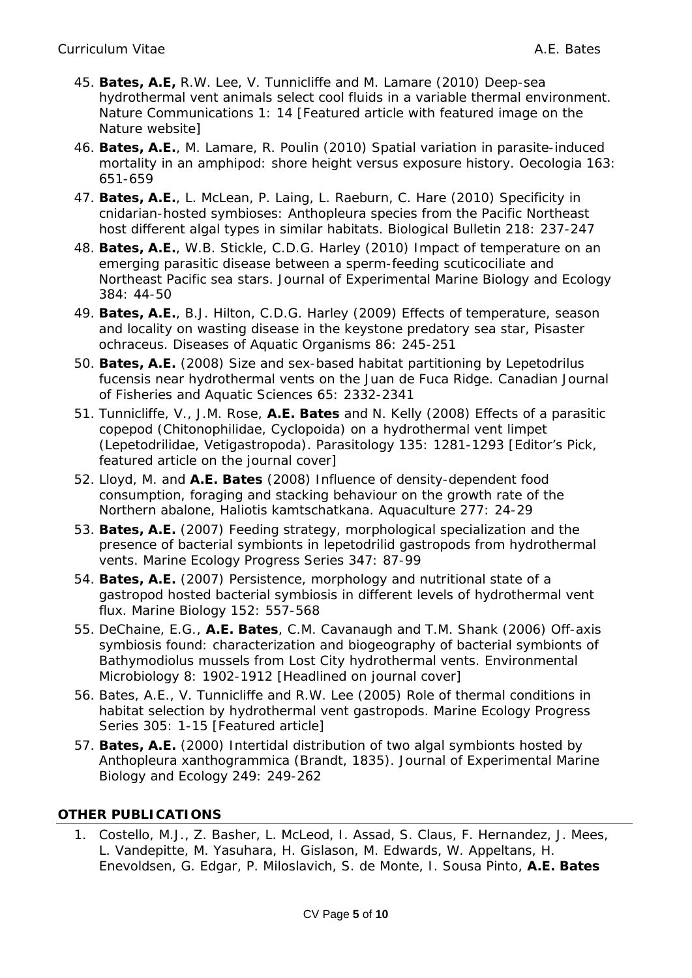- 45. **Bates, A.E,** R.W. Lee, V. Tunnicliffe and M. Lamare (2010) Deep-sea hydrothermal vent animals select cool fluids in a variable thermal environment. *Nature Communications* 1: 14 [Featured article with featured image on the Nature website]
- 46. **Bates, A.E.**, M. Lamare, R. Poulin (2010) Spatial variation in parasite-induced mortality in an amphipod: shore height versus exposure history. *Oecologia* 163: 651-659
- 47. **Bates, A.E.**, L. McLean, P. Laing, L. Raeburn, C. Hare (2010) Specificity in cnidarian-hosted symbioses: *Anthopleura* species from the Pacific Northeast host different algal types in similar habitats. *Biological Bulletin* 218: 237-247
- 48. **Bates, A.E.**, W.B. Stickle, C.D.G. Harley (2010) Impact of temperature on an emerging parasitic disease between a sperm-feeding scuticociliate and Northeast Pacific sea stars. *Journal of Experimental Marine Biology and Ecology* 384: 44-50
- 49. **Bates, A.E.**, B.J. Hilton, C.D.G. Harley (2009) Effects of temperature, season and locality on wasting disease in the keystone predatory sea star, *Pisaster ochraceus*. *Diseases of Aquatic Organisms* 86: 245-251
- 50. **Bates, A.E.** (2008) Size and sex-based habitat partitioning by *Lepetodrilus fucensis* near hydrothermal vents on the Juan de Fuca Ridge. *Canadian Journal of Fisheries and Aquatic Sciences* 65: 2332-2341
- 51. Tunnicliffe, V., J.M. Rose, **A.E. Bates** and N. Kelly (2008) Effects of a parasitic copepod (Chitonophilidae, Cyclopoida) on a hydrothermal vent limpet (Lepetodrilidae, Vetigastropoda). *Parasitology* 135: 1281-1293 [Editor's Pick, featured article on the journal cover]
- 52. Lloyd, M. and **A.E. Bates** (2008) Influence of density-dependent food consumption, foraging and stacking behaviour on the growth rate of the Northern abalone, *Haliotis kamtschatkana. Aquaculture* 277: 24-29
- 53. **Bates, A.E.** (2007) Feeding strategy, morphological specialization and the presence of bacterial symbionts in lepetodrilid gastropods from hydrothermal vents. *Marine Ecology Progress Series* 347: 87-99
- 54. **Bates, A.E.** (2007) Persistence, morphology and nutritional state of a gastropod hosted bacterial symbiosis in different levels of hydrothermal vent flux. *Marine Biology* 152: 557-568
- 55. DeChaine, E.G., **A.E. Bates**, C.M. Cavanaugh and T.M. Shank (2006) Off-axis symbiosis found: characterization and biogeography of bacterial symbionts of *Bathymodiolus* mussels from Lost City hydrothermal vents. *Environmental Microbiology* 8: 1902-1912 [Headlined on journal cover]
- 56. Bates, A.E., V. Tunnicliffe and R.W. Lee (2005) Role of thermal conditions in habitat selection by hydrothermal vent gastropods. *Marine Ecology Progress Series* 305: 1-15 [Featured article]
- 57. **Bates, A.E.** (2000) Intertidal distribution of two algal symbionts hosted by *Anthopleura xanthogrammica* (Brandt, 1835). *Journal of Experimental Marine Biology and Ecology* 249: 249-262

### **OTHER PUBLICATIONS**

1. Costello, M.J., Z. Basher, L. McLeod, I. Assad, S. Claus, F. Hernandez, J. Mees, L. Vandepitte, M. Yasuhara, H. Gislason, M. Edwards, W. Appeltans, H. Enevoldsen, G. Edgar, P. Miloslavich, S. de Monte, I. Sousa Pinto, **A.E. Bates**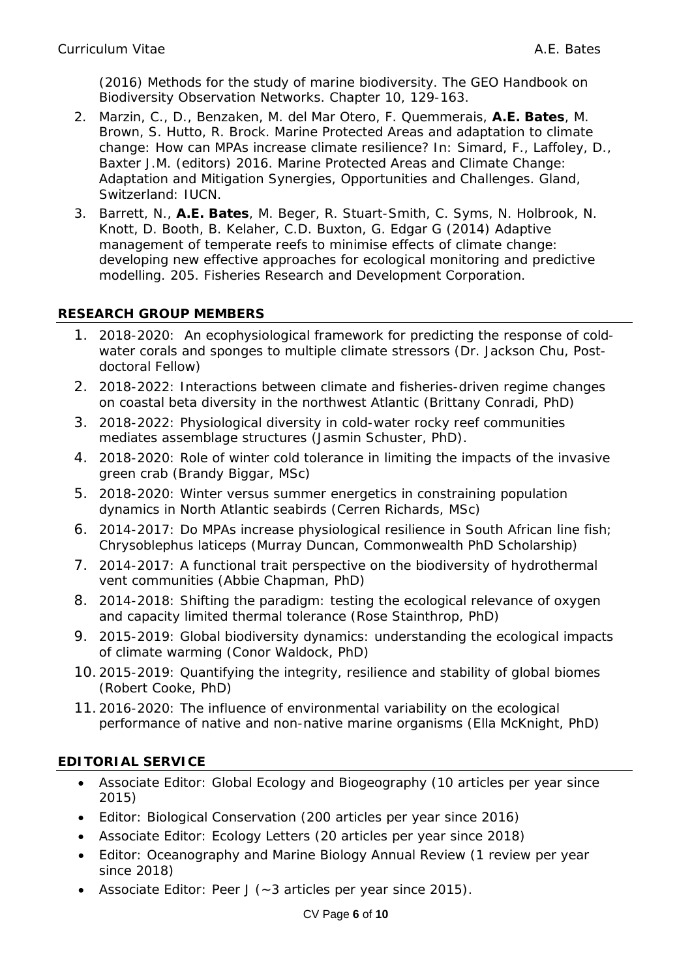(2016) Methods for the study of marine biodiversity. The GEO Handbook on Biodiversity Observation Networks. Chapter 10, 129-163.

- 2. Marzin, C., D., Benzaken, M. del Mar Otero, F. Quemmerais, **A.E. Bates**, M. Brown, S. Hutto, R. Brock. Marine Protected Areas and adaptation to climate change: How can MPAs increase climate resilience? In: Simard, F., Laffoley, D., Baxter J.M. (editors) 2016. Marine Protected Areas and Climate Change: Adaptation and Mitigation Synergies, Opportunities and Challenges. Gland, Switzerland: IUCN.
- 3. Barrett, N., **A.E. Bates**, M. Beger, R. Stuart-Smith, C. Syms, N. Holbrook, N. Knott, D. Booth, B. Kelaher, C.D. Buxton, G. Edgar G (2014) Adaptive management of temperate reefs to minimise effects of climate change: developing new effective approaches for ecological monitoring and predictive modelling. 205. Fisheries Research and Development Corporation.

# **RESEARCH GROUP MEMBERS**

- 1. 2018-2020: An ecophysiological framework for predicting the response of coldwater corals and sponges to multiple climate stressors (Dr. Jackson Chu, Postdoctoral Fellow)
- 2. 2018-2022: Interactions between climate and fisheries-driven regime changes on coastal beta diversity in the northwest Atlantic (Brittany Conradi, PhD)
- 3. 2018-2022: Physiological diversity in cold-water rocky reef communities mediates assemblage structures (Jasmin Schuster, PhD).
- 4. 2018-2020: Role of winter cold tolerance in limiting the impacts of the invasive green crab (Brandy Biggar, MSc)
- 5. 2018-2020: Winter versus summer energetics in constraining population dynamics in North Atlantic seabirds (Cerren Richards, MSc)
- 6. 2014-2017: Do MPAs increase physiological resilience in South African line fish; *Chrysoblephus laticeps* (Murray Duncan, Commonwealth PhD Scholarship)
- 7. 2014-2017: A functional trait perspective on the biodiversity of hydrothermal vent communities (Abbie Chapman, PhD)
- 8. 2014-2018: Shifting the paradigm: testing the ecological relevance of oxygen and capacity limited thermal tolerance (Rose Stainthrop, PhD)
- 9. 2015-2019: Global biodiversity dynamics: understanding the ecological impacts of climate warming (Conor Waldock, PhD)
- 10.2015-2019: Quantifying the integrity, resilience and stability of global biomes (Robert Cooke, PhD)
- 11.2016-2020: The influence of environmental variability on the ecological performance of native and non-native marine organisms (Ella McKnight, PhD)

# **EDITORIAL SERVICE**

- Associate Editor: Global Ecology and Biogeography (10 articles per year since 2015)
- Editor: Biological Conservation (200 articles per year since 2016)
- Associate Editor: Ecology Letters (20 articles per year since 2018)
- Editor: Oceanography and Marine Biology Annual Review (1 review per year since 2018)
- Associate Editor: Peer J (~3 articles per year since 2015).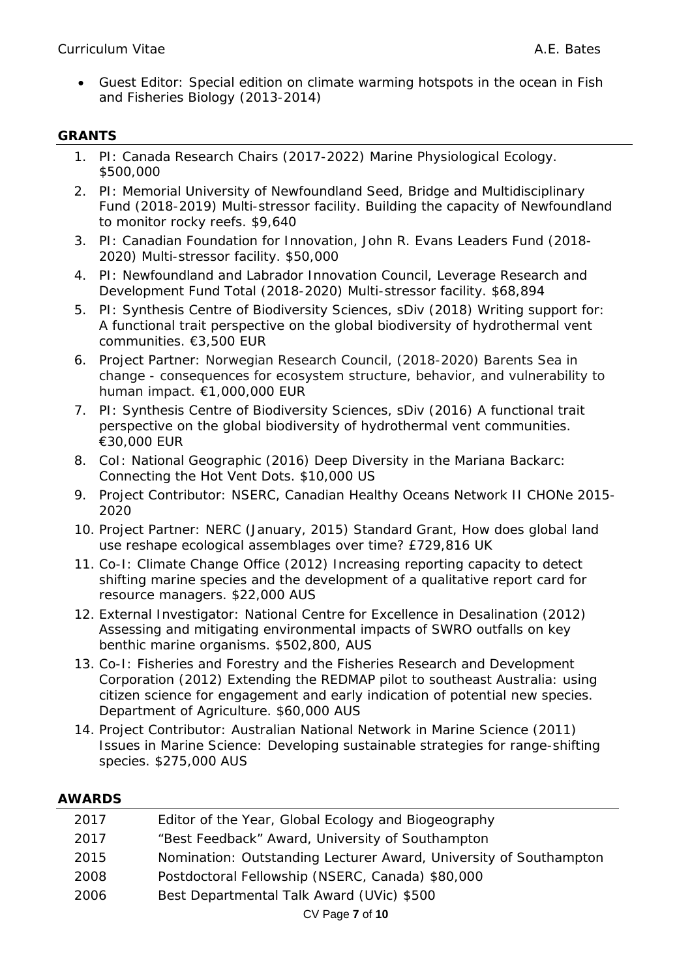• Guest Editor: Special edition on climate warming hotspots in the ocean in Fish and Fisheries Biology (2013-2014)

# **GRANTS**

- 1. PI: Canada Research Chairs (2017-2022) Marine Physiological Ecology. \$500,000
- 2. PI: Memorial University of Newfoundland Seed, Bridge and Multidisciplinary Fund (2018-2019) Multi-stressor facility. Building the capacity of Newfoundland to monitor rocky reefs. \$9,640
- 3. PI: Canadian Foundation for Innovation, John R. Evans Leaders Fund (2018- 2020) Multi-stressor facility. \$50,000
- 4. PI: Newfoundland and Labrador Innovation Council, Leverage Research and Development Fund Total (2018-2020) Multi-stressor facility. \$68,894
- 5. PI: Synthesis Centre of Biodiversity Sciences, sDiv (2018) Writing support for: A functional trait perspective on the global biodiversity of hydrothermal vent communities. €3,500 EUR
- 6. Project Partner: Norwegian Research Council, (2018-2020) Barents Sea in change - consequences for ecosystem structure, behavior, and vulnerability to human impact. €1,000,000 EUR
- 7. PI: Synthesis Centre of Biodiversity Sciences, sDiv (2016) A functional trait perspective on the global biodiversity of hydrothermal vent communities. €30,000 EUR
- 8. CoI: National Geographic (2016) Deep Diversity in the Mariana Backarc: Connecting the Hot Vent Dots. \$10,000 US
- 9. Project Contributor: NSERC, Canadian Healthy Oceans Network II CHONe 2015- 2020
- 10. Project Partner: NERC (January, 2015) Standard Grant, How does global land use reshape ecological assemblages over time? £729,816 UK
- 11. Co-I: Climate Change Office (2012) Increasing reporting capacity to detect shifting marine species and the development of a qualitative report card for resource managers. \$22,000 AUS
- 12. External Investigator: National Centre for Excellence in Desalination (2012) Assessing and mitigating environmental impacts of SWRO outfalls on key benthic marine organisms. \$502,800, AUS
- 13. Co-I: Fisheries and Forestry and the Fisheries Research and Development Corporation (2012) Extending the REDMAP pilot to southeast Australia: using citizen science for engagement and early indication of potential new species. Department of Agriculture. \$60,000 AUS
- 14. Project Contributor: Australian National Network in Marine Science (2011) Issues in Marine Science: Developing sustainable strategies for range-shifting species. \$275,000 AUS

#### **AWARDS**

| 2017 | Editor of the Year, Global Ecology and Biogeography               |  |
|------|-------------------------------------------------------------------|--|
| 2017 | "Best Feedback" Award, University of Southampton                  |  |
| 2015 | Nomination: Outstanding Lecturer Award, University of Southampton |  |
| 2008 | Postdoctoral Fellowship (NSERC, Canada) \$80,000                  |  |
| 2006 | Best Departmental Talk Award (UVic) \$500                         |  |
|      | $CV$ Page $7$ of $10$                                             |  |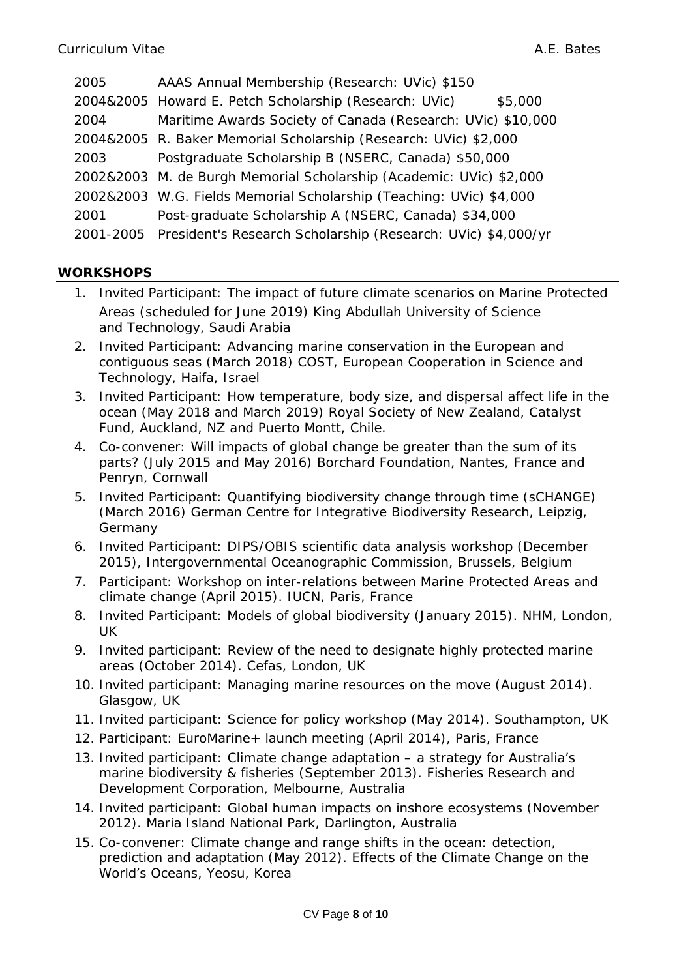| 2005 | AAAS Annual Membership (Research: UVic) \$150                          |  |  |
|------|------------------------------------------------------------------------|--|--|
|      | 2004&2005 Howard E. Petch Scholarship (Research: UVic)<br>\$5,000      |  |  |
| 2004 | Maritime Awards Society of Canada (Research: UVic) \$10,000            |  |  |
|      | 2004&2005 R. Baker Memorial Scholarship (Research: UVic) \$2,000       |  |  |
| 2003 | Postgraduate Scholarship B (NSERC, Canada) \$50,000                    |  |  |
|      | 2002&2003 M. de Burgh Memorial Scholarship (Academic: UVic) \$2,000    |  |  |
|      | 2002&2003 W.G. Fields Memorial Scholarship (Teaching: UVic) \$4,000    |  |  |
| 2001 | Post-graduate Scholarship A (NSERC, Canada) \$34,000                   |  |  |
|      | 2001-2005 President's Research Scholarship (Research: UVic) \$4,000/yr |  |  |

### **WORKSHOPS**

- *1.* Invited Participant: *The impact of future climate scenarios on Marine Protected Areas* (scheduled for June 2019) King Abdullah University of Science and Technology, Saudi Arabia
- 2. Invited Participant: *Advancing marine conservation in the European and contiguous seas* (March 2018) COST, European Cooperation in Science and Technology, Haifa, Israel
- 3. Invited Participant: *How temperature, body size, and dispersal affect life in the ocean* (May 2018 and March 2019) Royal Society of New Zealand, Catalyst Fund, Auckland, NZ and Puerto Montt, Chile.
- 4. Co-convener: *Will impacts of global change be greater than the sum of its parts?* (July 2015 and May 2016) Borchard Foundation, Nantes, France and Penryn, Cornwall
- 5. Invited Participant: *Quantifying biodiversity change through time* (sCHANGE) (March 2016) German Centre for Integrative Biodiversity Research, Leipzig, Germany
- 6. Invited Participant: *DIPS/OBIS scientific data analysis workshop* (December 2015), Intergovernmental Oceanographic Commission, Brussels, Belgium
- 7. Participant: *Workshop on inter-relations between Marine Protected Areas and climate change* (April 2015). IUCN, Paris, France
- 8. Invited Participant: *Models of global biodiversity* (January 2015). NHM, London, UK
- 9. Invited participant: *Review of the need to designate highly protected marine areas* (October 2014). Cefas, London, UK
- 10. Invited participant: Managing marine resources on the move (August 2014). Glasgow, UK
- 11. Invited participant: *Science for policy workshop* (May 2014). Southampton, UK
- 12. Participant: *EuroMarine+ launch meeting* (April 2014), Paris, France
- 13. Invited participant: *Climate change adaptation – a strategy for Australia's marine biodiversity & fisheries* (September 2013). Fisheries Research and Development Corporation, Melbourne, Australia
- 14. Invited participant: *Global human impacts on inshore ecosystems* (November 2012). Maria Island National Park, Darlington, Australia
- 15. Co-convener: *Climate change and range shifts in the ocean: detection, prediction and adaptation* (May 2012). Effects of the Climate Change on the World's Oceans, Yeosu, Korea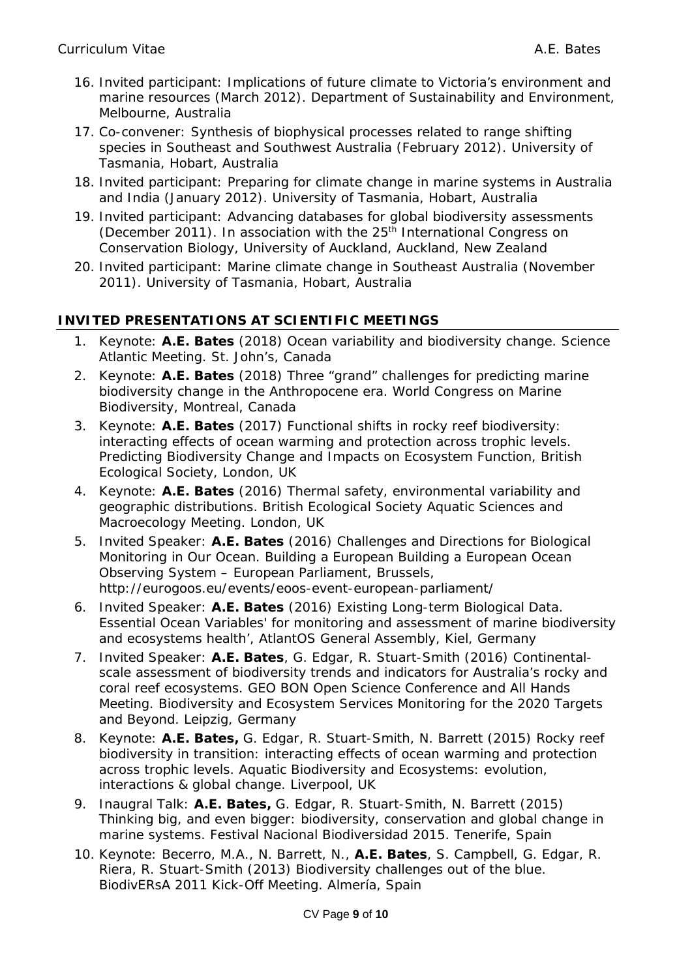- 16. Invited participant: *Implications of future climate to Victoria's environment and marine resources* (March 2012). Department of Sustainability and Environment, Melbourne, Australia
- 17. Co-convener: *Synthesis of biophysical processes related to range shifting species in Southeast and Southwest Australia* (February 2012). University of Tasmania, Hobart, Australia
- 18. Invited participant: *Preparing for climate change in marine systems in Australia and India* (January 2012). University of Tasmania, Hobart, Australia
- 19. Invited participant: *Advancing databases for global biodiversity assessments* (December 2011). In association with the 25<sup>th</sup> International Congress on Conservation Biology, University of Auckland, Auckland, New Zealand
- 20. Invited participant: *Marine climate change in Southeast Australia* (November 2011). University of Tasmania, Hobart, Australia

# **INVITED PRESENTATIONS AT SCIENTIFIC MEETINGS**

- 1. Keynote: **A.E. Bates** (2018) *Ocean variability and biodiversity change*. Science Atlantic Meeting. St. John's, Canada
- 2. Keynote: **A.E. Bates** (2018) *Three "grand" challenges for predicting marine biodiversity change in the Anthropocene era*. World Congress on Marine Biodiversity, Montreal, Canada
- 3. Keynote: **A.E. Bates** (2017) *Functional shifts in rocky reef biodiversity: interacting effects of ocean warming and protection across trophic levels*. Predicting Biodiversity Change and Impacts on Ecosystem Function, British Ecological Society, London, UK
- 4. Keynote: **A.E. Bates** (2016) *Thermal safety, environmental variability and geographic distributions*. British Ecological Society Aquatic Sciences and Macroecology Meeting. London, UK
- 5. Invited Speaker: **A.E. Bates** (2016) *Challenges and Directions for Biological Monitoring in Our Ocean.* Building a European Building a European Ocean Observing System – European Parliament, Brussels, http://eurogoos.eu/events/eoos-event-european-parliament/
- 6. Invited Speaker: **A.E. Bates** (2016) *Existing Long-term Biological Data.* Essential Ocean Variables' for monitoring and assessment of marine biodiversity and ecosystems health', AtlantOS General Assembly, Kiel, Germany
- 7. Invited Speaker: **A.E. Bates**, G. Edgar, R. Stuart-Smith (2016) *Continentalscale assessment of biodiversity trends and indicators for Australia's rocky and coral reef ecosystems*. GEO BON Open Science Conference and All Hands Meeting. Biodiversity and Ecosystem Services Monitoring for the 2020 Targets and Beyond. Leipzig, Germany
- 8. Keynote: **A.E. Bates,** G. Edgar, R. Stuart-Smith, N. Barrett (2015) *Rocky reef biodiversity in transition: interacting effects of ocean warming and protection across trophic levels*. Aquatic Biodiversity and Ecosystems: evolution, interactions & global change. Liverpool, UK
- 9. Inaugral Talk: **A.E. Bates,** G. Edgar, R. Stuart-Smith, N. Barrett (2015) *Thinking big, and even bigger: biodiversity, conservation and global change in marine systems*. Festival Nacional Biodiversidad 2015. Tenerife, Spain
- 10. Keynote: Becerro, M.A., N. Barrett, N., **A.E. Bates**, S. Campbell, G. Edgar, R. Riera, R. Stuart-Smith (2013) *Biodiversity challenges out of the blue*. BiodivERsA 2011 Kick-Off Meeting. Almería, Spain